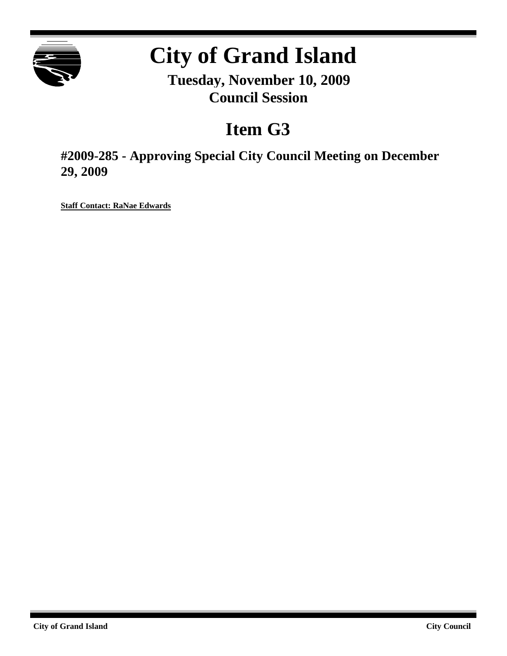

# **City of Grand Island**

**Tuesday, November 10, 2009 Council Session**

# **Item G3**

**#2009-285 - Approving Special City Council Meeting on December 29, 2009**

**Staff Contact: RaNae Edwards**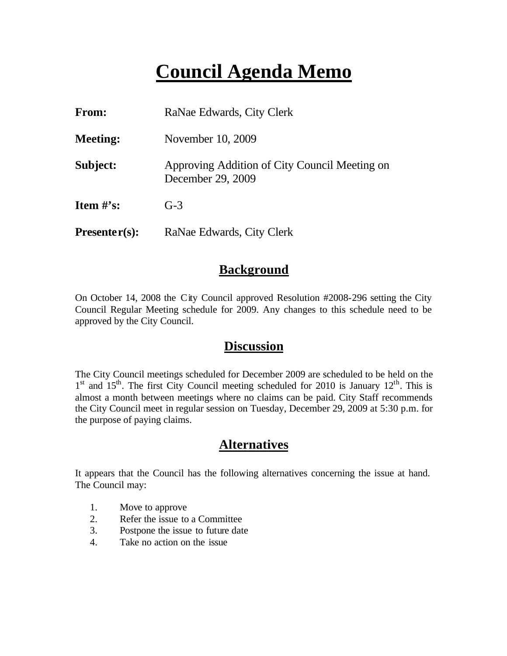# **Council Agenda Memo**

| <b>From:</b>                   | RaNae Edwards, City Clerk                                          |
|--------------------------------|--------------------------------------------------------------------|
| <b>Meeting:</b>                | November 10, 2009                                                  |
| Subject:                       | Approving Addition of City Council Meeting on<br>December 29, 2009 |
| <b>Item <math>\#</math>'s:</b> | $G-3$                                                              |
| $Presenter(s):$                | RaNae Edwards, City Clerk                                          |

#### **Background**

On October 14, 2008 the City Council approved Resolution #2008-296 setting the City Council Regular Meeting schedule for 2009. Any changes to this schedule need to be approved by the City Council.

#### **Discussion**

The City Council meetings scheduled for December 2009 are scheduled to be held on the  $1<sup>st</sup>$  and  $15<sup>th</sup>$ . The first City Council meeting scheduled for 2010 is January  $12<sup>th</sup>$ . This is almost a month between meetings where no claims can be paid. City Staff recommends the City Council meet in regular session on Tuesday, December 29, 2009 at 5:30 p.m. for the purpose of paying claims.

### **Alternatives**

It appears that the Council has the following alternatives concerning the issue at hand. The Council may:

- 1. Move to approve
- 2. Refer the issue to a Committee
- 3. Postpone the issue to future date
- 4. Take no action on the issue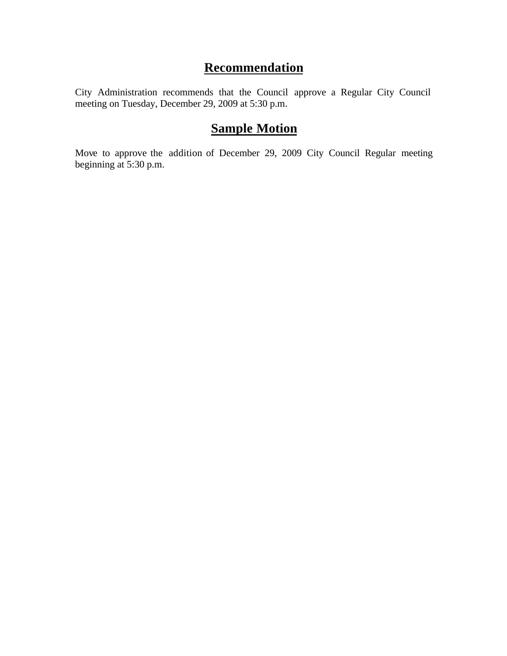## **Recommendation**

City Administration recommends that the Council approve a Regular City Council meeting on Tuesday, December 29, 2009 at 5:30 p.m.

## **Sample Motion**

Move to approve the addition of December 29, 2009 City Council Regular meeting beginning at 5:30 p.m.